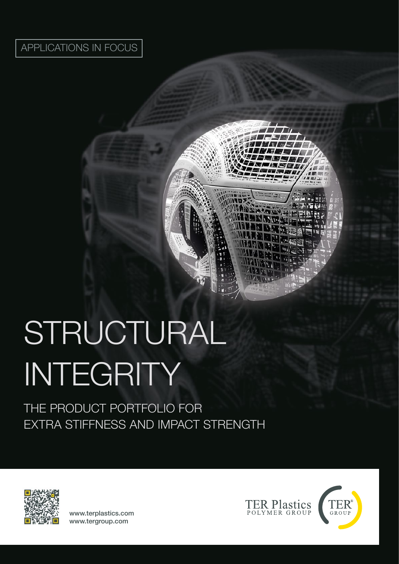# APPLICATIONS IN FOCUS

# STRUCTURAL INTEGRITY

THE PRODUCT PORTFOLIO FOR EXTRA STIFFNESS AND IMPACT STRENGTH



www.terplastics.com www.tergroup.com



 $\Gamma$ 

可图正

MAGA.

**BRA** 

 $\rightarrow$ 

mo **DAHa**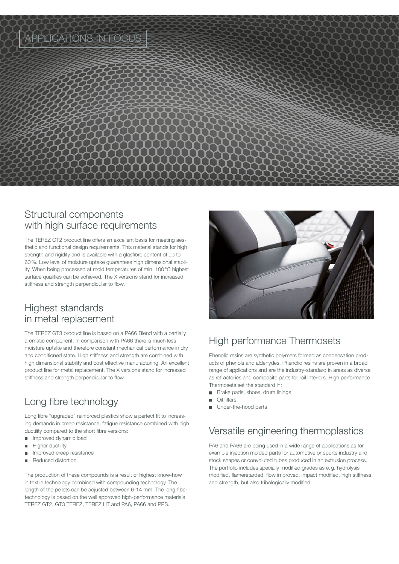

#### Structural components with high surface requirements

The TEREZ GT2 product line offers an excellent basis for meeting aesthetic and functional design requirements. This material stands for high strength and rigidity and is available with a glasfibre content of up to 60%. Low level of moisture uptake guarantees high dimensional stability. When being processed at mold temperatures of min. 100°C highest surface qualities can be achieved. The X versions stand for increased stiffness and strength perpendicular to flow.

#### Highest standards in metal replacement

The TEREZ GT3 product line is based on a PA66 Blend with a partially aromatic component. In comparison with PA66 there is much less moisture uptake and therefore constant mechanical performance in dry and conditioned state. High stiffness and strength are combined with high dimensional stability and cost effective manufacturing. An excellent product line for metal replacement. The X versions stand for increased stiffness and strength perpendicular to flow.

# Long fibre technology

Long fibre "upgraded" reinforced plastics show a perfect fit to increasing demands in creep resistance, fatigue resistance combined with high ductility compared to the short fibre versions:

- Improved dynamic load  $\sim$
- Higher ductility
- Improved creep resistance
- Reduced distortion

The production of these compounds is a result of highest know-how in textile technology combined with compounding technology. The length of the pellets can be adjusted between 6-14 mm. The long-fiber technology is based on the well approved high-performance materials TEREZ GT2, GT3 TEREZ, TEREZ HT and PA6, PA66 and PPS.



## High performance Thermosets

Phenolic resins are synthetic polymers formed as condensation products of phenols and aldehydes. Phenolic resins are proven in a broad range of applications and are the industry-standard in areas as diverse as refractories and composite parts for rail interiors. High performance Thermosets set the standard in:

- Brake pads, shoes, drum linings
- $\blacksquare$ Oil filters
- Under-the-hood parts

### Versatile engineering thermoplastics

PA6 and PA66 are being used in a wide range of applications as for example injection molded parts for automotive or sports industry and stock shapes or convoluted tubes produced in an extrusion process. The portfolio includes specially modified grades as e.g. hydrolysis modified, flameretarded, flow improved, impact modified, high stiffness and strength, but also tribologically modified.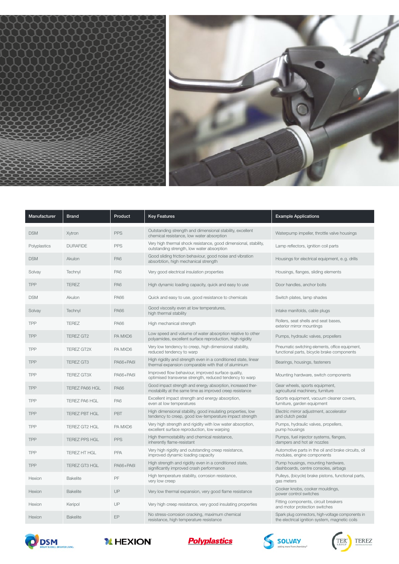



| Manufacturer | <b>Brand</b>          | Product         | <b>Key Features</b>                                                                                                      | <b>Example Applications</b>                                                                         |
|--------------|-----------------------|-----------------|--------------------------------------------------------------------------------------------------------------------------|-----------------------------------------------------------------------------------------------------|
| <b>DSM</b>   | Xytron                | <b>PPS</b>      | Outstanding strength and dimensional stability, excellent<br>chemical resistance, low water absorption                   | Waterpump impeller, throttle valve housings                                                         |
| Polyplastics | <b>DURAFIDE</b>       | <b>PPS</b>      | Very high thermal shock resistance, good dimensional, stability,<br>outstanding strength, low water absorption           | Lamp reflectors, ignition coil parts                                                                |
| <b>DSM</b>   | Akulon                | PA6             | Good sliding friction behaviour, good noise and vibration<br>absorbtion, high mechanical strength                        | Housings for electrical equipment, e.g. drills                                                      |
| Solvay       | Technyl               | PA <sub>6</sub> | Very good electrical insulation properties                                                                               | Housings, flanges, sliding elements                                                                 |
| TPP          | <b>TEREZ</b>          | PA6             | High dynamic loading capacity, quick and easy to use                                                                     | Door handles, anchor bolts                                                                          |
| <b>DSM</b>   | Akulon                | <b>PA66</b>     | Quick and easy to use, good resistance to chemicals                                                                      | Switch plates, lamp shades                                                                          |
| Solvay       | Technyl               | <b>PA66</b>     | Good viscosity even at low temperatures,<br>high thermal stability                                                       | Intake manifolds, cable plugs                                                                       |
| TPP          | <b>TEREZ</b>          | <b>PA66</b>     | High mechanical strength                                                                                                 | Rollers, seat shells and seat bases,<br>exterior mirror mountings                                   |
| <b>TPP</b>   | <b>TEREZ GT2</b>      | PA MXD6         | Low speed and volume of water absorption relative to other<br>polyamides, excellent surface reproduction, high rigidity  | Pumps, hydraulic valves, propellers                                                                 |
| <b>TPP</b>   | <b>TEREZ GT2X</b>     | PA MXD6         | Very low tendency to creep, high dimensional stability,<br>reduced tendency to warp                                      | Pneumatic switching elements, office equipment,<br>functional parts, bicycle brake components       |
| <b>TPP</b>   | <b>TEREZ GT3</b>      | PA66+PA6I       | High rigidity and strength even in a conditioned state, linear<br>thermal expansion comparable with that of aluminium    | Bearings, housings, fasteners                                                                       |
| <b>TPP</b>   | <b>TEREZ GT3X</b>     | PA66+PA6I       | Improved flow behaviour, improved surface quality,<br>optimised transverse strength, reduced tendency to warp            | Mounting hardware, switch components                                                                |
| <b>TPP</b>   | <b>TEREZ PA66 HGL</b> | <b>PA66</b>     | Good impact strength and energy absorption, increased ther-<br>mostability at the same time as improved creep resistance | Gear wheels, sports equipment,<br>agricultural machinery, furniture                                 |
| <b>TPP</b>   | <b>TEREZ PA6 HGL</b>  | PA6             | Excellent impact strength and energy absorption,<br>even at low temperatures                                             | Sports equipment, vacuum cleaner covers,<br>furniture, garden equipment                             |
| <b>TPP</b>   | <b>TEREZ PBT HGL</b>  | <b>PBT</b>      | High dimensional stability, good insulating properties, low<br>tendency to creep, good low-temperature impact strength   | Electric mirror adjustment, accelerator<br>and clutch pedal                                         |
| <b>TPP</b>   | <b>TEREZ GT2 HGL</b>  | PA MXD6         | Very high strength and rigidity with low water absorption,<br>excellent surface reproduction, low warping                | Pumps, hydraulic valves, propellers,<br>pump housings                                               |
| TPP          | <b>TEREZ PPS HGL</b>  | <b>PPS</b>      | High thermostability and chemical resistance,<br>inherently flame-resistant                                              | Pumps, fuel injector systems, flanges,<br>dampers and hot air nozzles                               |
| <b>TPP</b>   | <b>TEREZ HT HGL</b>   | <b>PPA</b>      | Very high rigidity and outstanding creep resistance,<br>improved dynamic loading capacity                                | Automotive parts in the oil and brake circuits, oil<br>modules, engine components                   |
| <b>TPP</b>   | <b>TEREZ GT3 HGL</b>  | PA66+PA6I       | High strength and rigidity even in a conditioned state,<br>significantly improved crash performance                      | Pump housings, mounting hardware,<br>dashboards, centre consoles, airbags                           |
| Hexion       | <b>Bakelite</b>       | PF              | High temperature stability, corrosion resistance,<br>very low creep                                                      | Pulleys, (bicycle) brake pistons, functional parts,<br>gas meters                                   |
| Hexion       | <b>Bakelite</b>       | UP              | Very low thermal expansion, very good flame resistance                                                                   | Cooker knobs, cooker mouldings,<br>power control switches                                           |
| Hexion       | Keripol               | UP              | Very high creep resistance, very good insulating properties                                                              | Fitting components, circuit breakers<br>and motor protection switches                               |
| Hexion       | <b>Bakelite</b>       | EP              | No stress-corrosion cracking, maximum chemical<br>resistance, high temperature resistance                                | Spark plug connectors, high-voltage components in<br>the electrical ignition system, magnetic coils |